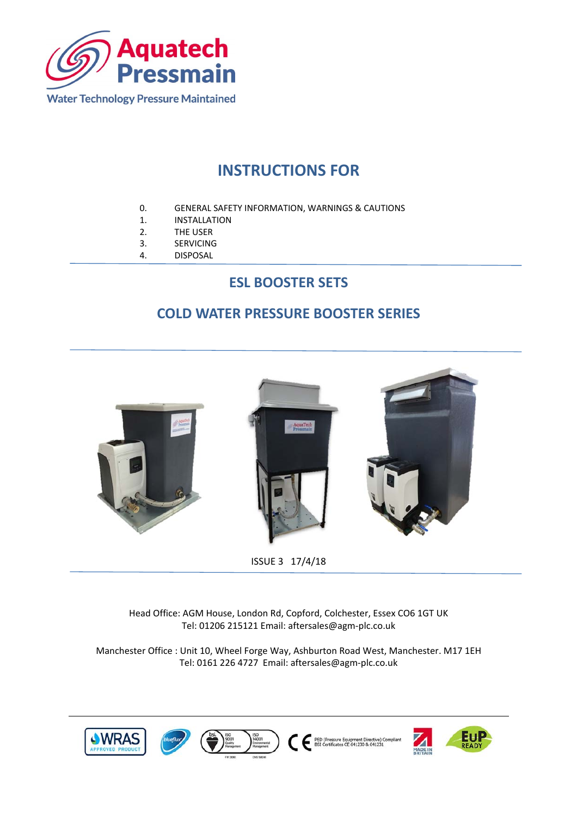

## **INSTRUCTIONS FOR**

- 0. GENERAL SAFETY INFORMATION, WARNINGS & CAUTIONS
- 1. INSTALLATION
- 2. THE USER
- 3. SERVICING
- 4. DISPOSAL

## **ESL BOOSTER SETS**

## **COLD WATER PRESSURE BOOSTER SERIES**



ISSUE 3 17/4/18

Head Office: AGM House, London Rd, Copford, Colchester, Essex CO6 1GT UK Tel: 01206 215121 Email: aftersales@agm‐plc.co.uk

Manchester Office : Unit 10, Wheel Forge Way, Ashburton Road West, Manchester. M17 1EH Tel: 0161 226 4727 Email: aftersales@agm‐plc.co.uk

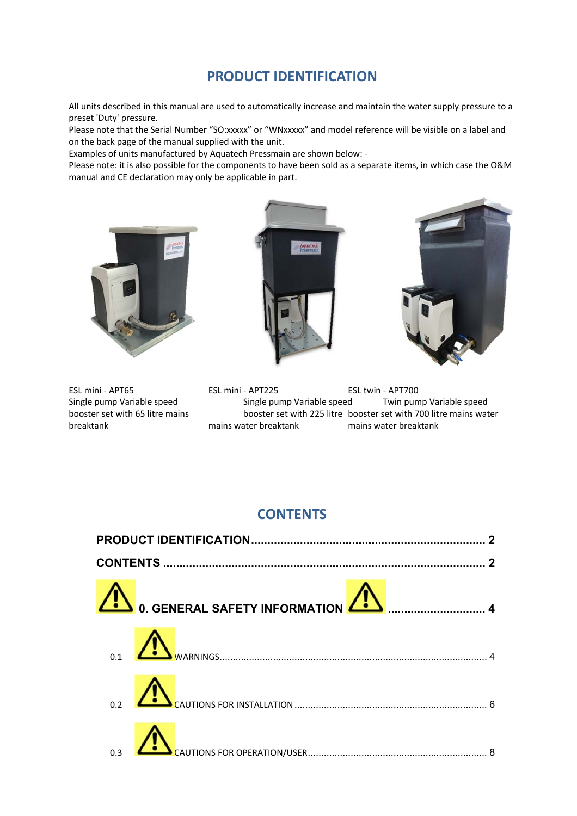## **PRODUCT IDENTIFICATION**

All units described in this manual are used to automatically increase and maintain the water supply pressure to a preset 'Duty' pressure.

Please note that the Serial Number "SO:xxxxx" or "WNxxxxx" and model reference will be visible on a label and on the back page of the manual supplied with the unit.

Examples of units manufactured by Aquatech Pressmain are shown below: ‐

Please note: it is also possible for the components to have been sold as a separate items, in which case the O&M manual and CE declaration may only be applicable in part.



ESL mini ‐ APT65 ESL mini ‐ APT225 ESL twin ‐ APT700 Single pump Variable speed Single pump Variable speed Twin pump Variable speed booster set with 65 litre mains booster set with 225 litre booster set with 700 litre mains water breaktank mains water breaktank mains water breaktank

## **CONTENTS**

| 0. GENERAL SAFETY INFORMATION A POWER MAIL 4 |  |
|----------------------------------------------|--|
|                                              |  |
|                                              |  |
|                                              |  |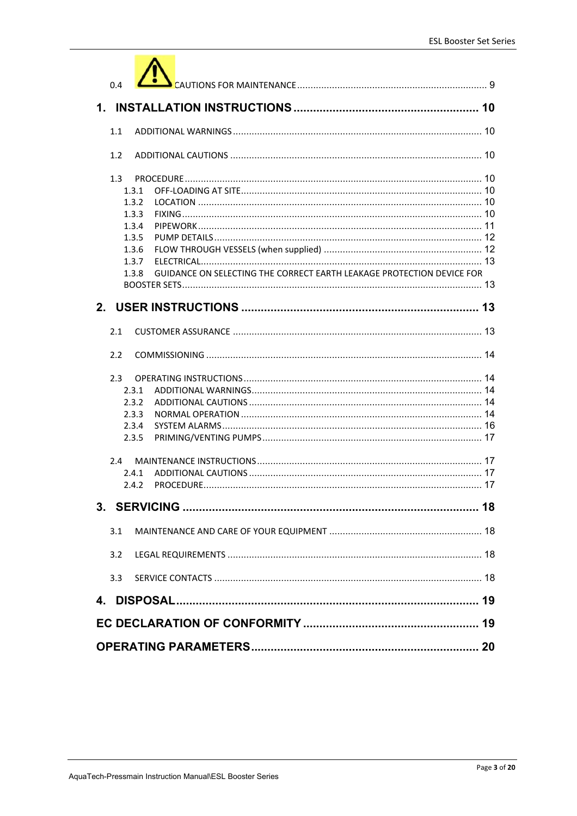| 0.4                                                                            |  |
|--------------------------------------------------------------------------------|--|
|                                                                                |  |
| 1.1                                                                            |  |
| 1.2                                                                            |  |
| 1.3                                                                            |  |
| 1.3.1                                                                          |  |
| 1.3.2                                                                          |  |
| 1.3.3                                                                          |  |
| 1.3.4                                                                          |  |
| 1.3.5                                                                          |  |
| 1.3.6                                                                          |  |
| 1.3.7                                                                          |  |
| GUIDANCE ON SELECTING THE CORRECT EARTH LEAKAGE PROTECTION DEVICE FOR<br>1.3.8 |  |
|                                                                                |  |
|                                                                                |  |
| 2.1                                                                            |  |
| 2.2                                                                            |  |
| $2.3 -$                                                                        |  |
| 2.3.1                                                                          |  |
| 2.3.2                                                                          |  |
| 2.3.3                                                                          |  |
| 2.3.4                                                                          |  |
| 2.3.5                                                                          |  |
| 2.4                                                                            |  |
| 2.4.1                                                                          |  |
| 7.4.7                                                                          |  |
|                                                                                |  |
| 3.1                                                                            |  |
| 3.2                                                                            |  |
| 3.3                                                                            |  |
| 4.                                                                             |  |
|                                                                                |  |
|                                                                                |  |
|                                                                                |  |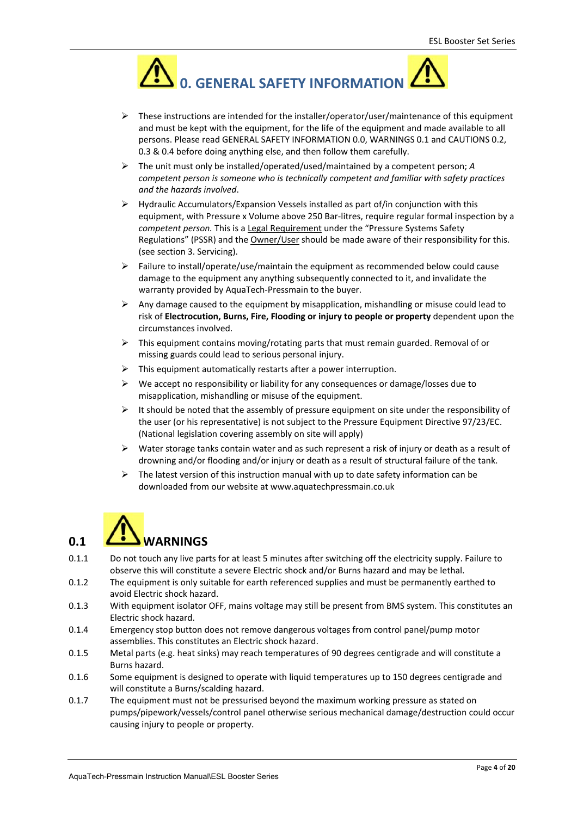

- $\triangleright$  These instructions are intended for the installer/operator/user/maintenance of this equipment and must be kept with the equipment, for the life of the equipment and made available to all persons. Please read GENERAL SAFETY INFORMATION 0.0, WARNINGS 0.1 and CAUTIONS 0.2, 0.3 & 0.4 before doing anything else, and then follow them carefully.
- The unit must only be installed/operated/used/maintained by a competent person; *A competent person is someone who is technically competent and familiar with safety practices and the hazards involved*.
- $\triangleright$  Hydraulic Accumulators/Expansion Vessels installed as part of/in conjunction with this equipment, with Pressure x Volume above 250 Bar‐litres, require regular formal inspection by a *competent person.* This is a Legal Requirement under the "Pressure Systems Safety Regulations" (PSSR) and the Owner/User should be made aware of their responsibility for this. (see section 3. Servicing).
- $\triangleright$  Failure to install/operate/use/maintain the equipment as recommended below could cause damage to the equipment any anything subsequently connected to it, and invalidate the warranty provided by AquaTech‐Pressmain to the buyer.
- $\triangleright$  Any damage caused to the equipment by misapplication, mishandling or misuse could lead to risk of **Electrocution, Burns, Fire, Flooding or injury to people or property** dependent upon the circumstances involved.
- $\triangleright$  This equipment contains moving/rotating parts that must remain guarded. Removal of or missing guards could lead to serious personal injury.
- This equipment automatically restarts after a power interruption.
- $\triangleright$  We accept no responsibility or liability for any consequences or damage/losses due to misapplication, mishandling or misuse of the equipment.
- $\triangleright$  It should be noted that the assembly of pressure equipment on site under the responsibility of the user (or his representative) is not subject to the Pressure Equipment Directive 97/23/EC. (National legislation covering assembly on site will apply)
- $\triangleright$  Water storage tanks contain water and as such represent a risk of injury or death as a result of drowning and/or flooding and/or injury or death as a result of structural failure of the tank.
- The latest version of this instruction manual with up to date safety information can be downloaded from our website at www.aquatechpressmain.co.uk

## **0.1 WARNINGS**

- 0.1.1 Do not touch any live parts for at least 5 minutes after switching off the electricity supply. Failure to observe this will constitute a severe Electric shock and/or Burns hazard and may be lethal.
- 0.1.2 The equipment is only suitable for earth referenced supplies and must be permanently earthed to avoid Electric shock hazard.
- 0.1.3 With equipment isolator OFF, mains voltage may still be present from BMS system. This constitutes an Electric shock hazard.
- 0.1.4 Emergency stop button does not remove dangerous voltages from control panel/pump motor assemblies. This constitutes an Electric shock hazard.
- 0.1.5 Metal parts (e.g. heat sinks) may reach temperatures of 90 degrees centigrade and will constitute a Burns hazard.
- 0.1.6 Some equipment is designed to operate with liquid temperatures up to 150 degrees centigrade and will constitute a Burns/scalding hazard.
- 0.1.7 The equipment must not be pressurised beyond the maximum working pressure as stated on pumps/pipework/vessels/control panel otherwise serious mechanical damage/destruction could occur causing injury to people or property.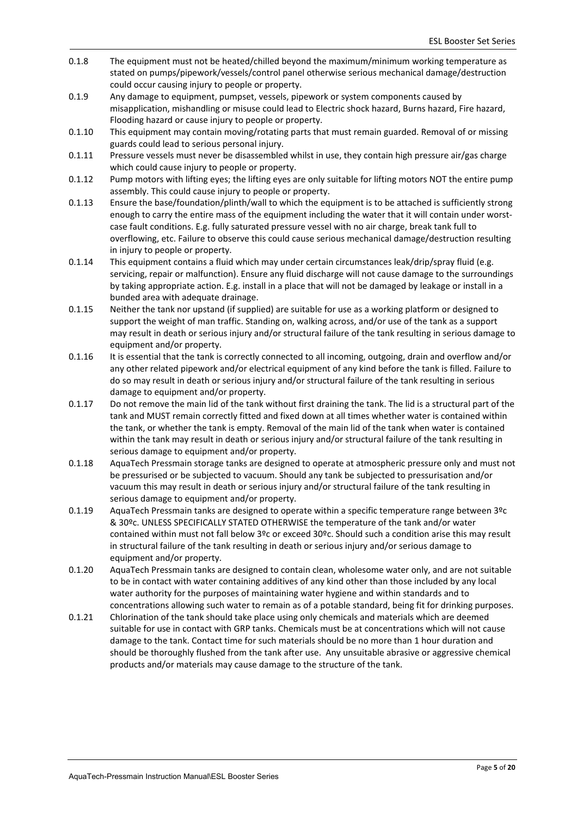- 0.1.8 The equipment must not be heated/chilled beyond the maximum/minimum working temperature as stated on pumps/pipework/vessels/control panel otherwise serious mechanical damage/destruction could occur causing injury to people or property.
- 0.1.9 Any damage to equipment, pumpset, vessels, pipework or system components caused by misapplication, mishandling or misuse could lead to Electric shock hazard, Burns hazard, Fire hazard, Flooding hazard or cause injury to people or property.
- 0.1.10 This equipment may contain moving/rotating parts that must remain guarded. Removal of or missing guards could lead to serious personal injury.
- 0.1.11 Pressure vessels must never be disassembled whilst in use, they contain high pressure air/gas charge which could cause injury to people or property.
- 0.1.12 Pump motors with lifting eyes; the lifting eyes are only suitable for lifting motors NOT the entire pump assembly. This could cause injury to people or property.
- 0.1.13 Ensure the base/foundation/plinth/wall to which the equipment is to be attached is sufficiently strong enough to carry the entire mass of the equipment including the water that it will contain under worstcase fault conditions. E.g. fully saturated pressure vessel with no air charge, break tank full to overflowing, etc. Failure to observe this could cause serious mechanical damage/destruction resulting in injury to people or property.
- 0.1.14 This equipment contains a fluid which may under certain circumstances leak/drip/spray fluid (e.g. servicing, repair or malfunction). Ensure any fluid discharge will not cause damage to the surroundings by taking appropriate action. E.g. install in a place that will not be damaged by leakage or install in a bunded area with adequate drainage.
- 0.1.15 Neither the tank nor upstand (if supplied) are suitable for use as a working platform or designed to support the weight of man traffic. Standing on, walking across, and/or use of the tank as a support may result in death or serious injury and/or structural failure of the tank resulting in serious damage to equipment and/or property.
- 0.1.16 It is essential that the tank is correctly connected to all incoming, outgoing, drain and overflow and/or any other related pipework and/or electrical equipment of any kind before the tank is filled. Failure to do so may result in death or serious injury and/or structural failure of the tank resulting in serious damage to equipment and/or property.
- 0.1.17 Do not remove the main lid of the tank without first draining the tank. The lid is a structural part of the tank and MUST remain correctly fitted and fixed down at all times whether water is contained within the tank, or whether the tank is empty. Removal of the main lid of the tank when water is contained within the tank may result in death or serious injury and/or structural failure of the tank resulting in serious damage to equipment and/or property.
- 0.1.18 AquaTech Pressmain storage tanks are designed to operate at atmospheric pressure only and must not be pressurised or be subjected to vacuum. Should any tank be subjected to pressurisation and/or vacuum this may result in death or serious injury and/or structural failure of the tank resulting in serious damage to equipment and/or property.
- 0.1.19 AquaTech Pressmain tanks are designed to operate within a specific temperature range between 3ºc & 30ºc. UNLESS SPECIFICALLY STATED OTHERWISE the temperature of the tank and/or water contained within must not fall below 3ºc or exceed 30ºc. Should such a condition arise this may result in structural failure of the tank resulting in death or serious injury and/or serious damage to equipment and/or property.
- 0.1.20 AquaTech Pressmain tanks are designed to contain clean, wholesome water only, and are not suitable to be in contact with water containing additives of any kind other than those included by any local water authority for the purposes of maintaining water hygiene and within standards and to concentrations allowing such water to remain as of a potable standard, being fit for drinking purposes.
- 0.1.21 Chlorination of the tank should take place using only chemicals and materials which are deemed suitable for use in contact with GRP tanks. Chemicals must be at concentrations which will not cause damage to the tank. Contact time for such materials should be no more than 1 hour duration and should be thoroughly flushed from the tank after use. Any unsuitable abrasive or aggressive chemical products and/or materials may cause damage to the structure of the tank.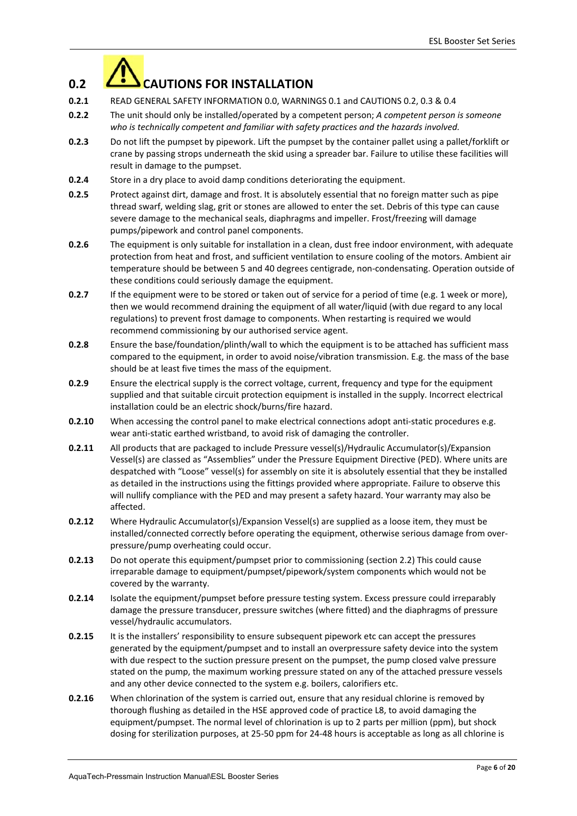

- **0.2.1** READ GENERAL SAFETY INFORMATION 0.0, WARNINGS 0.1 and CAUTIONS 0.2, 0.3 & 0.4
- **0.2.2** The unit should only be installed/operated by a competent person; *A competent person is someone who is technically competent and familiar with safety practices and the hazards involved.*
- **0.2.3** Do not lift the pumpset by pipework. Lift the pumpset by the container pallet using a pallet/forklift or crane by passing strops underneath the skid using a spreader bar. Failure to utilise these facilities will result in damage to the pumpset.
- **0.2.4** Store in a dry place to avoid damp conditions deteriorating the equipment.
- **0.2.5** Protect against dirt, damage and frost. It is absolutely essential that no foreign matter such as pipe thread swarf, welding slag, grit or stones are allowed to enter the set. Debris of this type can cause severe damage to the mechanical seals, diaphragms and impeller. Frost/freezing will damage pumps/pipework and control panel components.
- **0.2.6** The equipment is only suitable for installation in a clean, dust free indoor environment, with adequate protection from heat and frost, and sufficient ventilation to ensure cooling of the motors. Ambient air temperature should be between 5 and 40 degrees centigrade, non‐condensating. Operation outside of these conditions could seriously damage the equipment.
- **0.2.7** If the equipment were to be stored or taken out of service for a period of time (e.g. 1 week or more), then we would recommend draining the equipment of all water/liquid (with due regard to any local regulations) to prevent frost damage to components. When restarting is required we would recommend commissioning by our authorised service agent.
- **0.2.8** Ensure the base/foundation/plinth/wall to which the equipment is to be attached has sufficient mass compared to the equipment, in order to avoid noise/vibration transmission. E.g. the mass of the base should be at least five times the mass of the equipment.
- **0.2.9** Ensure the electrical supply is the correct voltage, current, frequency and type for the equipment supplied and that suitable circuit protection equipment is installed in the supply. Incorrect electrical installation could be an electric shock/burns/fire hazard.
- **0.2.10** When accessing the control panel to make electrical connections adopt anti-static procedures e.g. wear anti‐static earthed wristband, to avoid risk of damaging the controller.
- **0.2.11** All products that are packaged to include Pressure vessel(s)/Hydraulic Accumulator(s)/Expansion Vessel(s) are classed as "Assemblies" under the Pressure Equipment Directive (PED). Where units are despatched with "Loose" vessel(s) for assembly on site it is absolutely essential that they be installed as detailed in the instructions using the fittings provided where appropriate. Failure to observe this will nullify compliance with the PED and may present a safety hazard. Your warranty may also be affected.
- **0.2.12** Where Hydraulic Accumulator(s)/Expansion Vessel(s) are supplied as a loose item, they must be installed/connected correctly before operating the equipment, otherwise serious damage from over‐ pressure/pump overheating could occur.
- **0.2.13** Do not operate this equipment/pumpset prior to commissioning (section 2.2) This could cause irreparable damage to equipment/pumpset/pipework/system components which would not be covered by the warranty.
- **0.2.14** Isolate the equipment/pumpset before pressure testing system. Excess pressure could irreparably damage the pressure transducer, pressure switches (where fitted) and the diaphragms of pressure vessel/hydraulic accumulators.
- **0.2.15** It is the installers' responsibility to ensure subsequent pipework etc can accept the pressures generated by the equipment/pumpset and to install an overpressure safety device into the system with due respect to the suction pressure present on the pumpset, the pump closed valve pressure stated on the pump, the maximum working pressure stated on any of the attached pressure vessels and any other device connected to the system e.g. boilers, calorifiers etc.
- **0.2.16** When chlorination of the system is carried out, ensure that any residual chlorine is removed by thorough flushing as detailed in the HSE approved code of practice L8, to avoid damaging the equipment/pumpset. The normal level of chlorination is up to 2 parts per million (ppm), but shock dosing for sterilization purposes, at 25‐50 ppm for 24‐48 hours is acceptable as long as all chlorine is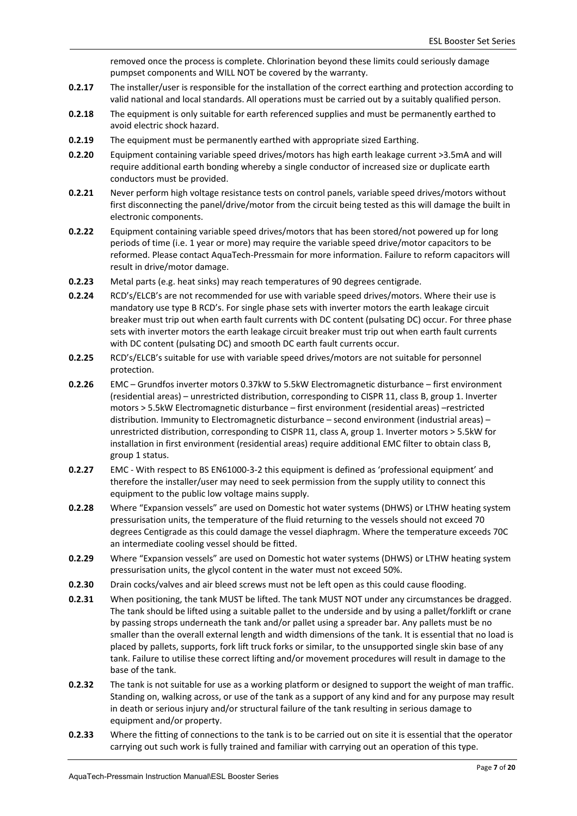removed once the process is complete. Chlorination beyond these limits could seriously damage pumpset components and WILL NOT be covered by the warranty.

- **0.2.17** The installer/user is responsible for the installation of the correct earthing and protection according to valid national and local standards. All operations must be carried out by a suitably qualified person.
- **0.2.18** The equipment is only suitable for earth referenced supplies and must be permanently earthed to avoid electric shock hazard.
- **0.2.19** The equipment must be permanently earthed with appropriate sized Earthing.
- **0.2.20** Equipment containing variable speed drives/motors has high earth leakage current >3.5mA and will require additional earth bonding whereby a single conductor of increased size or duplicate earth conductors must be provided.
- **0.2.21** Never perform high voltage resistance tests on control panels, variable speed drives/motors without first disconnecting the panel/drive/motor from the circuit being tested as this will damage the built in electronic components.
- **0.2.22** Equipment containing variable speed drives/motors that has been stored/not powered up for long periods of time (i.e. 1 year or more) may require the variable speed drive/motor capacitors to be reformed. Please contact AquaTech‐Pressmain for more information. Failure to reform capacitors will result in drive/motor damage.
- **0.2.23** Metal parts (e.g. heat sinks) may reach temperatures of 90 degrees centigrade.
- **0.2.24** RCD's/ELCB's are not recommended for use with variable speed drives/motors. Where their use is mandatory use type B RCD's. For single phase sets with inverter motors the earth leakage circuit breaker must trip out when earth fault currents with DC content (pulsating DC) occur. For three phase sets with inverter motors the earth leakage circuit breaker must trip out when earth fault currents with DC content (pulsating DC) and smooth DC earth fault currents occur.
- **0.2.25** RCD's/ELCB's suitable for use with variable speed drives/motors are not suitable for personnel protection.
- **0.2.26** EMC Grundfos inverter motors 0.37kW to 5.5kW Electromagnetic disturbance first environment (residential areas) – unrestricted distribution, corresponding to CISPR 11, class B, group 1. Inverter motors > 5.5kW Electromagnetic disturbance – first environment (residential areas) –restricted distribution. Immunity to Electromagnetic disturbance – second environment (industrial areas) – unrestricted distribution, corresponding to CISPR 11, class A, group 1. Inverter motors > 5.5kW for installation in first environment (residential areas) require additional EMC filter to obtain class B, group 1 status.
- **0.2.27** EMC With respect to BS EN61000-3-2 this equipment is defined as 'professional equipment' and therefore the installer/user may need to seek permission from the supply utility to connect this equipment to the public low voltage mains supply.
- **0.2.28** Where "Expansion vessels" are used on Domestic hot water systems (DHWS) or LTHW heating system pressurisation units, the temperature of the fluid returning to the vessels should not exceed 70 degrees Centigrade as this could damage the vessel diaphragm. Where the temperature exceeds 70C an intermediate cooling vessel should be fitted.
- **0.2.29** Where "Expansion vessels" are used on Domestic hot water systems (DHWS) or LTHW heating system pressurisation units, the glycol content in the water must not exceed 50%.
- **0.2.30** Drain cocks/valves and air bleed screws must not be left open as this could cause flooding.
- **0.2.31** When positioning, the tank MUST be lifted. The tank MUST NOT under any circumstances be dragged. The tank should be lifted using a suitable pallet to the underside and by using a pallet/forklift or crane by passing strops underneath the tank and/or pallet using a spreader bar. Any pallets must be no smaller than the overall external length and width dimensions of the tank. It is essential that no load is placed by pallets, supports, fork lift truck forks or similar, to the unsupported single skin base of any tank. Failure to utilise these correct lifting and/or movement procedures will result in damage to the base of the tank.
- **0.2.32** The tank is not suitable for use as a working platform or designed to support the weight of man traffic. Standing on, walking across, or use of the tank as a support of any kind and for any purpose may result in death or serious injury and/or structural failure of the tank resulting in serious damage to equipment and/or property.
- **0.2.33** Where the fitting of connections to the tank is to be carried out on site it is essential that the operator carrying out such work is fully trained and familiar with carrying out an operation of this type.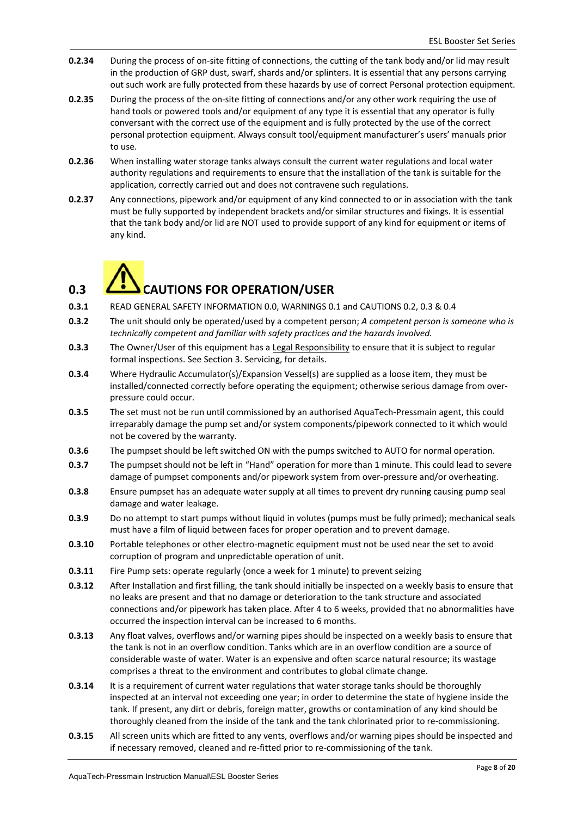- **0.2.34** During the process of on‐site fitting of connections, the cutting of the tank body and/or lid may result in the production of GRP dust, swarf, shards and/or splinters. It is essential that any persons carrying out such work are fully protected from these hazards by use of correct Personal protection equipment.
- **0.2.35** During the process of the on-site fitting of connections and/or any other work requiring the use of hand tools or powered tools and/or equipment of any type it is essential that any operator is fully conversant with the correct use of the equipment and is fully protected by the use of the correct personal protection equipment. Always consult tool/equipment manufacturer's users' manuals prior to use.
- **0.2.36** When installing water storage tanks always consult the current water regulations and local water authority regulations and requirements to ensure that the installation of the tank is suitable for the application, correctly carried out and does not contravene such regulations.
- **0.2.37** Any connections, pipework and/or equipment of any kind connected to or in association with the tank must be fully supported by independent brackets and/or similar structures and fixings. It is essential that the tank body and/or lid are NOT used to provide support of any kind for equipment or items of any kind.

# **0.3 CAUTIONS FOR OPERATION/USER**

- **0.3.1** READ GENERAL SAFETY INFORMATION 0.0, WARNINGS 0.1 and CAUTIONS 0.2, 0.3 & 0.4
- **0.3.2** The unit should only be operated/used by a competent person; *A competent person is someone who is technically competent and familiar with safety practices and the hazards involved.*
- **0.3.3** The Owner/User of this equipment has a Legal Responsibility to ensure that it is subject to regular formal inspections. See Section 3. Servicing, for details.
- **0.3.4** Where Hydraulic Accumulator(s)/Expansion Vessel(s) are supplied as a loose item, they must be installed/connected correctly before operating the equipment; otherwise serious damage from over‐ pressure could occur.
- **0.3.5** The set must not be run until commissioned by an authorised AquaTech-Pressmain agent, this could irreparably damage the pump set and/or system components/pipework connected to it which would not be covered by the warranty.
- **0.3.6** The pumpset should be left switched ON with the pumps switched to AUTO for normal operation.
- **0.3.7** The pumpset should not be left in "Hand" operation for more than 1 minute. This could lead to severe damage of pumpset components and/or pipework system from over-pressure and/or overheating.
- **0.3.8** Ensure pumpset has an adequate water supply at all times to prevent dry running causing pump seal damage and water leakage.
- **0.3.9** Do no attempt to start pumps without liquid in volutes (pumps must be fully primed); mechanical seals must have a film of liquid between faces for proper operation and to prevent damage.
- **0.3.10** Portable telephones or other electro-magnetic equipment must not be used near the set to avoid corruption of program and unpredictable operation of unit.
- **0.3.11** Fire Pump sets: operate regularly (once a week for 1 minute) to prevent seizing
- **0.3.12** After Installation and first filling, the tank should initially be inspected on a weekly basis to ensure that no leaks are present and that no damage or deterioration to the tank structure and associated connections and/or pipework has taken place. After 4 to 6 weeks, provided that no abnormalities have occurred the inspection interval can be increased to 6 months.
- **0.3.13** Any float valves, overflows and/or warning pipes should be inspected on a weekly basis to ensure that the tank is not in an overflow condition. Tanks which are in an overflow condition are a source of considerable waste of water. Water is an expensive and often scarce natural resource; its wastage comprises a threat to the environment and contributes to global climate change.
- **0.3.14** It is a requirement of current water regulations that water storage tanks should be thoroughly inspected at an interval not exceeding one year; in order to determine the state of hygiene inside the tank. If present, any dirt or debris, foreign matter, growths or contamination of any kind should be thoroughly cleaned from the inside of the tank and the tank chlorinated prior to re‐commissioning.
- **0.3.15** All screen units which are fitted to any vents, overflows and/or warning pipes should be inspected and if necessary removed, cleaned and re‐fitted prior to re‐commissioning of the tank.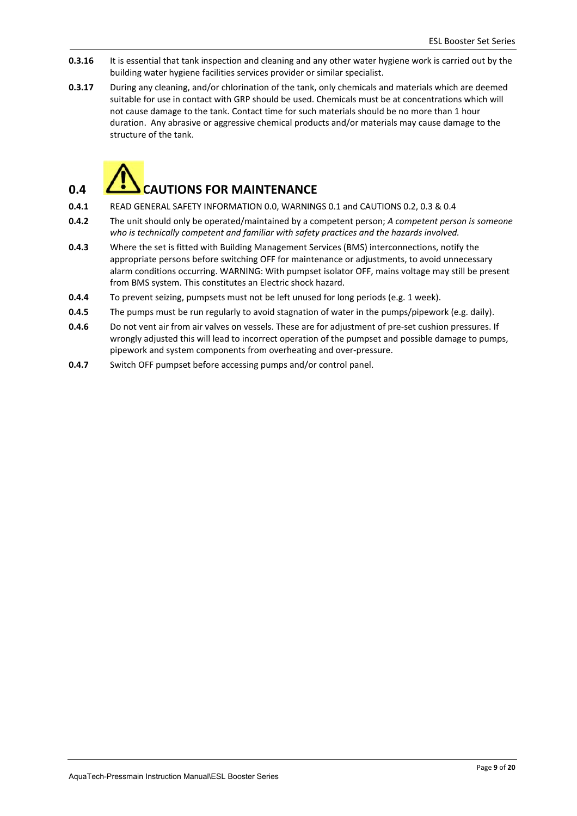- **0.3.16** It is essential that tank inspection and cleaning and any other water hygiene work is carried out by the building water hygiene facilities services provider or similar specialist.
- **0.3.17** During any cleaning, and/or chlorination of the tank, only chemicals and materials which are deemed suitable for use in contact with GRP should be used. Chemicals must be at concentrations which will not cause damage to the tank. Contact time for such materials should be no more than 1 hour duration. Any abrasive or aggressive chemical products and/or materials may cause damage to the structure of the tank.



## **0.4 CAUTIONS FOR MAINTENANCE**

- **0.4.1** READ GENERAL SAFETY INFORMATION 0.0, WARNINGS 0.1 and CAUTIONS 0.2, 0.3 & 0.4
- **0.4.2** The unit should only be operated/maintained by a competent person; *A competent person is someone who is technically competent and familiar with safety practices and the hazards involved.*
- **0.4.3** Where the set is fitted with Building Management Services (BMS) interconnections, notify the appropriate persons before switching OFF for maintenance or adjustments, to avoid unnecessary alarm conditions occurring. WARNING: With pumpset isolator OFF, mains voltage may still be present from BMS system. This constitutes an Electric shock hazard.
- **0.4.4** To prevent seizing, pumpsets must not be left unused for long periods (e.g. 1 week).
- **0.4.5** The pumps must be run regularly to avoid stagnation of water in the pumps/pipework (e.g. daily).
- **0.4.6** Do not vent air from air valves on vessels. These are for adjustment of pre-set cushion pressures. If wrongly adjusted this will lead to incorrect operation of the pumpset and possible damage to pumps, pipework and system components from overheating and over‐pressure.
- **0.4.7** Switch OFF pumpset before accessing pumps and/or control panel.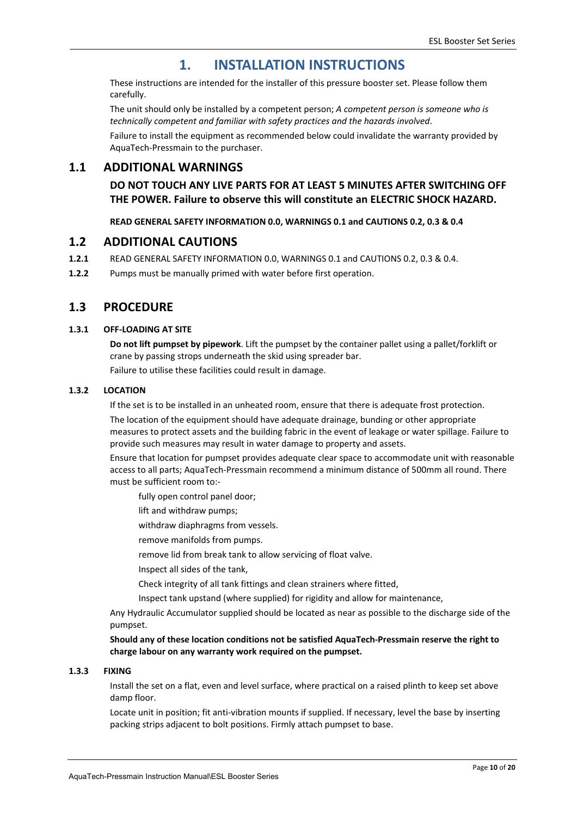## **1. INSTALLATION INSTRUCTIONS**

 These instructions are intended for the installer of this pressure booster set. Please follow them carefully.

 The unit should only be installed by a competent person; *A competent person is someone who is technically competent and familiar with safety practices and the hazards involved*.

 Failure to install the equipment as recommended below could invalidate the warranty provided by AquaTech‐Pressmain to the purchaser.

#### **1.1 ADDITIONAL WARNINGS**

**DO NOT TOUCH ANY LIVE PARTS FOR AT LEAST 5 MINUTES AFTER SWITCHING OFF THE POWER. Failure to observe this will constitute an ELECTRIC SHOCK HAZARD.** 

**READ GENERAL SAFETY INFORMATION 0.0, WARNINGS 0.1 and CAUTIONS 0.2, 0.3 & 0.4** 

#### **1.2 ADDITIONAL CAUTIONS**

- **1.2.1**  READ GENERAL SAFETY INFORMATION 0.0, WARNINGS 0.1 and CAUTIONS 0.2, 0.3 & 0.4.
- **1.2.2**  Pumps must be manually primed with water before first operation.

#### **1.3 PROCEDURE**

#### **1.3.1 OFF‐LOADING AT SITE**

**Do not lift pumpset by pipework**. Lift the pumpset by the container pallet using a pallet/forklift or crane by passing strops underneath the skid using spreader bar.

Failure to utilise these facilities could result in damage.

#### **1.3.2 LOCATION**

If the set is to be installed in an unheated room, ensure that there is adequate frost protection.

 The location of the equipment should have adequate drainage, bunding or other appropriate measures to protect assets and the building fabric in the event of leakage or water spillage. Failure to provide such measures may result in water damage to property and assets.

 Ensure that location for pumpset provides adequate clear space to accommodate unit with reasonable access to all parts; AquaTech‐Pressmain recommend a minimum distance of 500mm all round. There must be sufficient room to:‐

fully open control panel door;

lift and withdraw pumps;

withdraw diaphragms from vessels.

remove manifolds from pumps.

remove lid from break tank to allow servicing of float valve.

Inspect all sides of the tank,

Check integrity of all tank fittings and clean strainers where fitted,

Inspect tank upstand (where supplied) for rigidity and allow for maintenance,

 Any Hydraulic Accumulator supplied should be located as near as possible to the discharge side of the pumpset.

**Should any of these location conditions not be satisfied AquaTech‐Pressmain reserve the right to charge labour on any warranty work required on the pumpset.** 

#### **1.3.3 FIXING**

 Install the set on a flat, even and level surface, where practical on a raised plinth to keep set above damp floor.

 Locate unit in position; fit anti‐vibration mounts if supplied. If necessary, level the base by inserting packing strips adjacent to bolt positions. Firmly attach pumpset to base.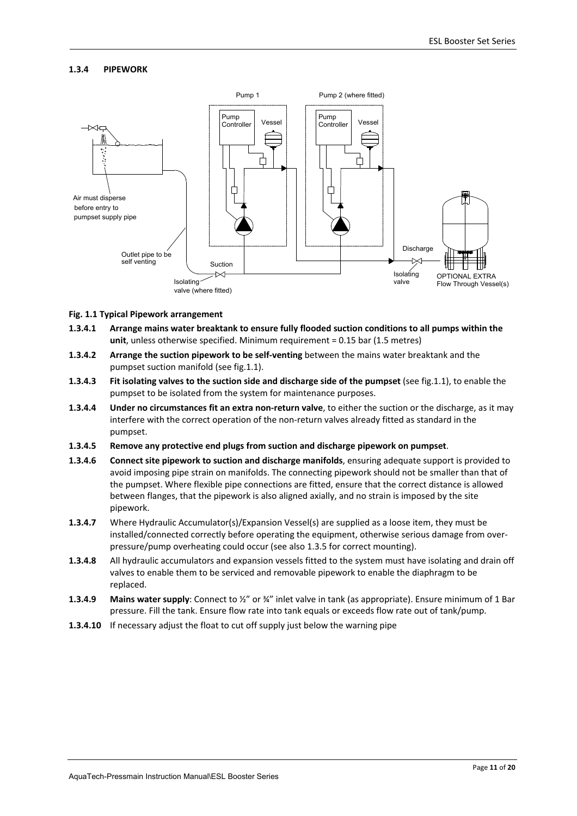#### **1.3.4 PIPEWORK**



#### **Fig. 1.1 Typical Pipework arrangement**

- **1.3.4.1 Arrange mains water breaktank to ensure fully flooded suction conditions to all pumps within the unit**, unless otherwise specified. Minimum requirement = 0.15 bar (1.5 metres)
- **1.3.4.2 Arrange the suction pipework to be self‐venting** between the mains water breaktank and the pumpset suction manifold (see fig.1.1).
- **1.3.4.3 Fit isolating valves to the suction side and discharge side of the pumpset** (see fig.1.1), to enable the pumpset to be isolated from the system for maintenance purposes.
- **1.3.4.4 Under no circumstances fit an extra non‐return valve**, to either the suction or the discharge, as it may interfere with the correct operation of the non‐return valves already fitted as standard in the pumpset.
- **1.3.4.5 Remove any protective end plugs from suction and discharge pipework on pumpset**.
- **1.3.4.6 Connect site pipework to suction and discharge manifolds**, ensuring adequate support is provided to avoid imposing pipe strain on manifolds. The connecting pipework should not be smaller than that of the pumpset. Where flexible pipe connections are fitted, ensure that the correct distance is allowed between flanges, that the pipework is also aligned axially, and no strain is imposed by the site pipework.
- **1.3.4.7** Where Hydraulic Accumulator(s)/Expansion Vessel(s) are supplied as a loose item, they must be installed/connected correctly before operating the equipment, otherwise serious damage from over‐ pressure/pump overheating could occur (see also 1.3.5 for correct mounting).
- **1.3.4.8** All hydraulic accumulators and expansion vessels fitted to the system must have isolating and drain off valves to enable them to be serviced and removable pipework to enable the diaphragm to be replaced.
- **1.3.4.9 Mains water supply**: Connect to ½" or ¾" inlet valve in tank (as appropriate). Ensure minimum of 1 Bar pressure. Fill the tank. Ensure flow rate into tank equals or exceeds flow rate out of tank/pump.
- **1.3.4.10** If necessary adjust the float to cut off supply just below the warning pipe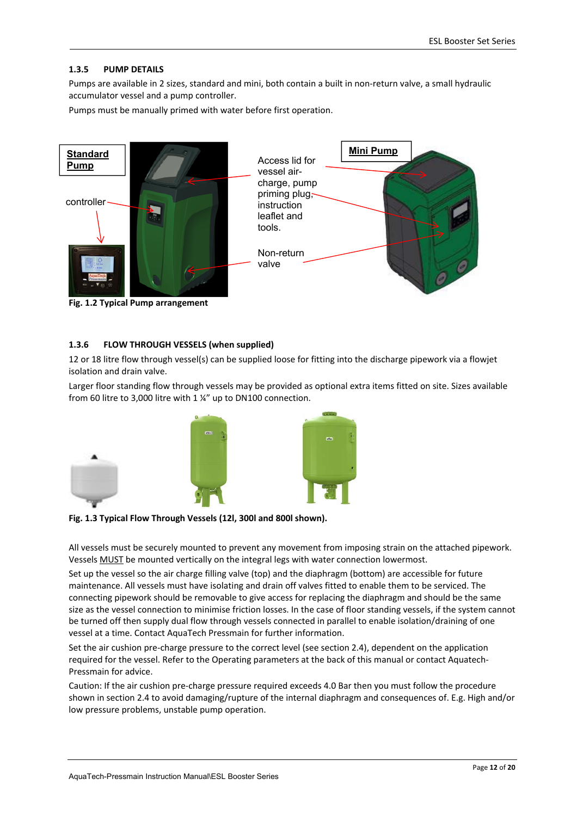#### **1.3.5 PUMP DETAILS**

Pumps are available in 2 sizes, standard and mini, both contain a built in non‐return valve, a small hydraulic accumulator vessel and a pump controller.

Pumps must be manually primed with water before first operation.



**Fig. 1.2 Typical Pump arrangement** 

#### **1.3.6 FLOW THROUGH VESSELS (when supplied)**

12 or 18 litre flow through vessel(s) can be supplied loose for fitting into the discharge pipework via a flowjet isolation and drain valve.

Larger floor standing flow through vessels may be provided as optional extra items fitted on site. Sizes available from 60 litre to 3,000 litre with 1 ¼" up to DN100 connection.



**Fig. 1.3 Typical Flow Through Vessels (12l, 300l and 800l shown).**

All vessels must be securely mounted to prevent any movement from imposing strain on the attached pipework. Vessels MUST be mounted vertically on the integral legs with water connection lowermost.

Set up the vessel so the air charge filling valve (top) and the diaphragm (bottom) are accessible for future maintenance. All vessels must have isolating and drain off valves fitted to enable them to be serviced. The connecting pipework should be removable to give access for replacing the diaphragm and should be the same size as the vessel connection to minimise friction losses. In the case of floor standing vessels, if the system cannot be turned off then supply dual flow through vessels connected in parallel to enable isolation/draining of one vessel at a time. Contact AquaTech Pressmain for further information.

Set the air cushion pre-charge pressure to the correct level (see section 2.4), dependent on the application required for the vessel. Refer to the Operating parameters at the back of this manual or contact Aquatech‐ Pressmain for advice.

Caution: If the air cushion pre‐charge pressure required exceeds 4.0 Bar then you must follow the procedure shown in section 2.4 to avoid damaging/rupture of the internal diaphragm and consequences of. E.g. High and/or low pressure problems, unstable pump operation.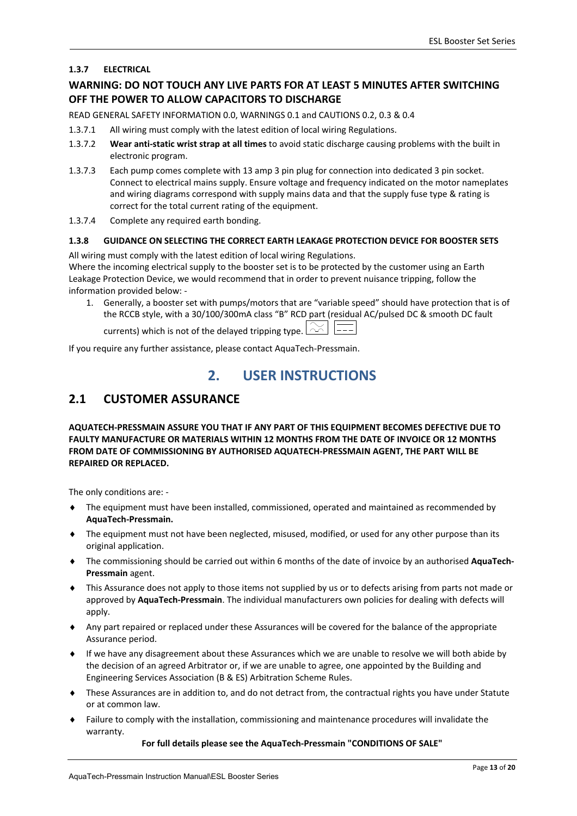#### **1.3.7 ELECTRICAL**

#### **WARNING: DO NOT TOUCH ANY LIVE PARTS FOR AT LEAST 5 MINUTES AFTER SWITCHING OFF THE POWER TO ALLOW CAPACITORS TO DISCHARGE**

READ GENERAL SAFETY INFORMATION 0.0, WARNINGS 0.1 and CAUTIONS 0.2, 0.3 & 0.4

- 1.3.7.1 All wiring must comply with the latest edition of local wiring Regulations.
- 1.3.7.2 **Wear anti‐static wrist strap at all times** to avoid static discharge causing problems with the built in electronic program.
- 1.3.7.3 Each pump comes complete with 13 amp 3 pin plug for connection into dedicated 3 pin socket. Connect to electrical mains supply. Ensure voltage and frequency indicated on the motor nameplates and wiring diagrams correspond with supply mains data and that the supply fuse type & rating is correct for the total current rating of the equipment.
- 1.3.7.4 Complete any required earth bonding.

#### **1.3.8 GUIDANCE ON SELECTING THE CORRECT EARTH LEAKAGE PROTECTION DEVICE FOR BOOSTER SETS**

All wiring must comply with the latest edition of local wiring Regulations.

Where the incoming electrical supply to the booster set is to be protected by the customer using an Earth Leakage Protection Device, we would recommend that in order to prevent nuisance tripping, follow the information provided below: ‐

1. Generally, a booster set with pumps/motors that are "variable speed" should have protection that is of the RCCB style, with a 30/100/300mA class "B" RCD part (residual AC/pulsed DC & smooth DC fault

currents) which is not of the delayed tripping type.  $\boxed{\sim}$ 

If you require any further assistance, please contact AquaTech‐Pressmain.

## **2. USER INSTRUCTIONS**

### **2.1 CUSTOMER ASSURANCE**

**AQUATECH‐PRESSMAIN ASSURE YOU THAT IF ANY PART OF THIS EQUIPMENT BECOMES DEFECTIVE DUE TO FAULTY MANUFACTURE OR MATERIALS WITHIN 12 MONTHS FROM THE DATE OF INVOICE OR 12 MONTHS FROM DATE OF COMMISSIONING BY AUTHORISED AQUATECH‐PRESSMAIN AGENT, THE PART WILL BE REPAIRED OR REPLACED.** 

The only conditions are: ‐

- The equipment must have been installed, commissioned, operated and maintained as recommended by **AquaTech‐Pressmain.**
- The equipment must not have been neglected, misused, modified, or used for any other purpose than its original application.
- The commissioning should be carried out within 6 months of the date of invoice by an authorised **AquaTech‐ Pressmain** agent.
- This Assurance does not apply to those items not supplied by us or to defects arising from parts not made or approved by **AquaTech‐Pressmain**. The individual manufacturers own policies for dealing with defects will apply.
- Any part repaired or replaced under these Assurances will be covered for the balance of the appropriate Assurance period.
- If we have any disagreement about these Assurances which we are unable to resolve we will both abide by the decision of an agreed Arbitrator or, if we are unable to agree, one appointed by the Building and Engineering Services Association (B & ES) Arbitration Scheme Rules.
- These Assurances are in addition to, and do not detract from, the contractual rights you have under Statute or at common law.
- Failure to comply with the installation, commissioning and maintenance procedures will invalidate the warranty.

**For full details please see the AquaTech‐Pressmain "CONDITIONS OF SALE"**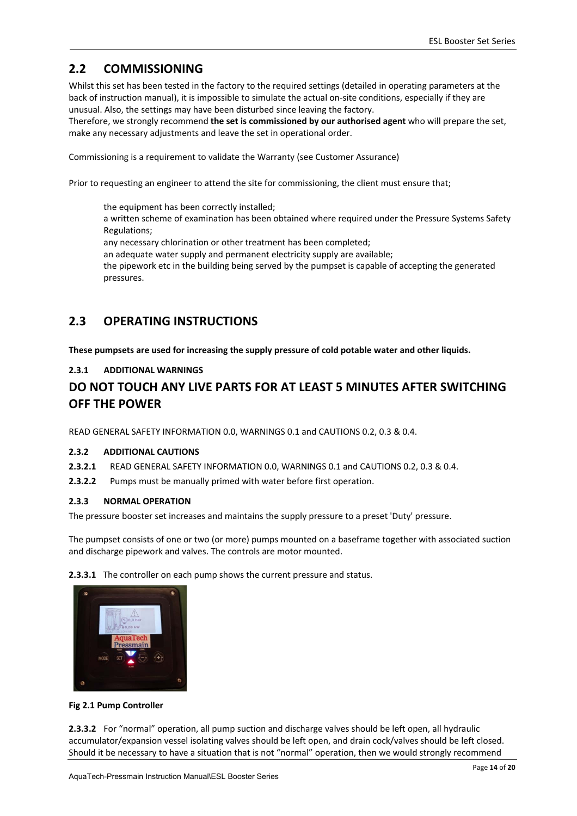## **2.2 COMMISSIONING**

Whilst this set has been tested in the factory to the required settings (detailed in operating parameters at the back of instruction manual), it is impossible to simulate the actual on‐site conditions, especially if they are unusual. Also, the settings may have been disturbed since leaving the factory.

Therefore, we strongly recommend **the set is commissioned by our authorised agent** who will prepare the set, make any necessary adjustments and leave the set in operational order.

Commissioning is a requirement to validate the Warranty (see Customer Assurance)

Prior to requesting an engineer to attend the site for commissioning, the client must ensure that;

 the equipment has been correctly installed; a written scheme of examination has been obtained where required under the Pressure Systems Safety Regulations; any necessary chlorination or other treatment has been completed; an adequate water supply and permanent electricity supply are available; the pipework etc in the building being served by the pumpset is capable of accepting the generated pressures.

## **2.3 OPERATING INSTRUCTIONS**

**These pumpsets are used for increasing the supply pressure of cold potable water and other liquids.** 

#### **2.3.1 ADDITIONAL WARNINGS**

## **DO NOT TOUCH ANY LIVE PARTS FOR AT LEAST 5 MINUTES AFTER SWITCHING OFF THE POWER**

READ GENERAL SAFETY INFORMATION 0.0, WARNINGS 0.1 and CAUTIONS 0.2, 0.3 & 0.4.

#### **2.3.2 ADDITIONAL CAUTIONS**

- **2.3.2.1**  READ GENERAL SAFETY INFORMATION 0.0, WARNINGS 0.1 and CAUTIONS 0.2, 0.3 & 0.4.
- **2.3.2.2**  Pumps must be manually primed with water before first operation.

#### **2.3.3 NORMAL OPERATION**

The pressure booster set increases and maintains the supply pressure to a preset 'Duty' pressure.

The pumpset consists of one or two (or more) pumps mounted on a baseframe together with associated suction and discharge pipework and valves. The controls are motor mounted.

**2.3.3.1** The controller on each pump shows the current pressure and status.

| $\left(\sqrt{0.0 \tan \theta}\right)$<br>$0.00$ kW<br>Θ |  |
|---------------------------------------------------------|--|
| <b>AquaTech</b><br>Pressmain                            |  |
| me                                                      |  |
| SET<br>MODE<br><b>ALARM</b>                             |  |

#### **Fig 2.1 Pump Controller**

**2.3.3.2** For "normal" operation, all pump suction and discharge valves should be left open, all hydraulic accumulator/expansion vessel isolating valves should be left open, and drain cock/valves should be left closed. Should it be necessary to have a situation that is not "normal" operation, then we would strongly recommend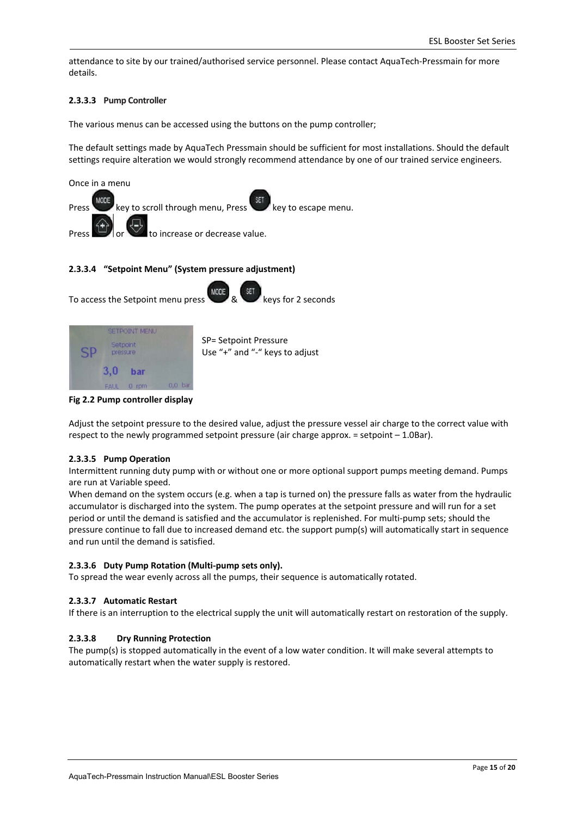attendance to site by our trained/authorised service personnel. Please contact AquaTech-Pressmain for more details.

#### **2.3.3.3 Pump Controller**

The various menus can be accessed using the buttons on the pump controller;

The default settings made by AquaTech Pressmain should be sufficient for most installations. Should the default settings require alteration we would strongly recommend attendance by one of our trained service engineers.



#### **2.3.3.4 "Setpoint Menu" (System pressure adjustment)**



| <b>SETPOINT MENU</b> |           |                    |                                                         |  |  |  |
|----------------------|-----------|--------------------|---------------------------------------------------------|--|--|--|
| Setpoint<br>pressure |           |                    | SP= Setpoint Pressure<br>Use "+" and "-" keys to adjust |  |  |  |
| 3.0                  | bar       |                    |                                                         |  |  |  |
| <b>FAUL</b>          | rpm<br>Ω. | 0.0 <sub>bar</sub> |                                                         |  |  |  |



Adjust the setpoint pressure to the desired value, adjust the pressure vessel air charge to the correct value with respect to the newly programmed setpoint pressure (air charge approx.  $=$  setpoint  $-1.0$ Bar).

#### **2.3.3.5 Pump Operation**

Intermittent running duty pump with or without one or more optional support pumps meeting demand. Pumps are run at Variable speed.

When demand on the system occurs (e.g. when a tap is turned on) the pressure falls as water from the hydraulic accumulator is discharged into the system. The pump operates at the setpoint pressure and will run for a set period or until the demand is satisfied and the accumulator is replenished. For multi-pump sets; should the pressure continue to fall due to increased demand etc. the support pump(s) will automatically start in sequence and run until the demand is satisfied.

#### **2.3.3.6 Duty Pump Rotation (Multi‐pump sets only).**

To spread the wear evenly across all the pumps, their sequence is automatically rotated.

#### **2.3.3.7 Automatic Restart**

If there is an interruption to the electrical supply the unit will automatically restart on restoration of the supply.

#### **2.3.3.8 Dry Running Protection**

The pump(s) is stopped automatically in the event of a low water condition. It will make several attempts to automatically restart when the water supply is restored.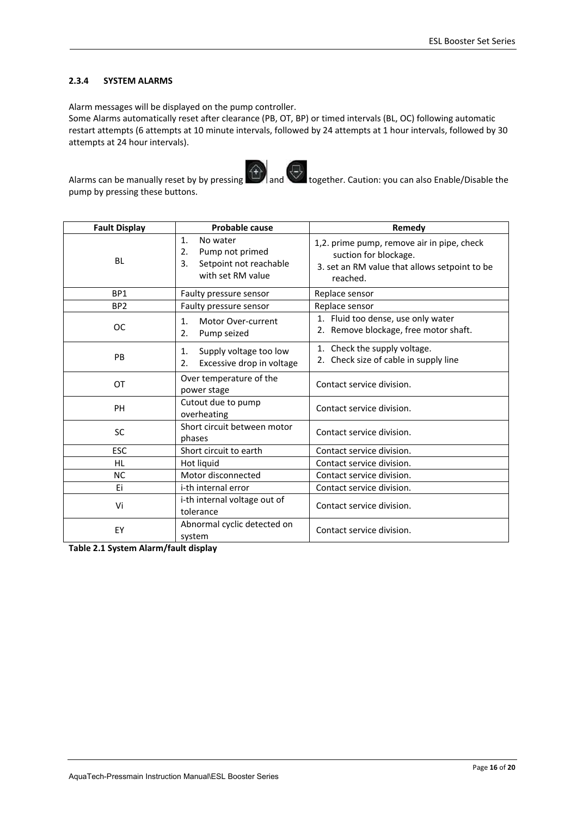#### **2.3.4 SYSTEM ALARMS**

pump by pressing these buttons.

Alarm messages will be displayed on the pump controller.

Some Alarms automatically reset after clearance (PB, OT, BP) or timed intervals (BL, OC) following automatic restart attempts (6 attempts at 10 minute intervals, followed by 24 attempts at 1 hour intervals, followed by 30 attempts at 24 hour intervals).



Alarms can be manually reset by by pressing  $\left(\begin{matrix} 4 \\ 1 \end{matrix}\right)$  and together. Caution: you can also Enable/Disable the

| Probable cause<br><b>Fault Display</b>      |                                                                                                          | Remedy                                                                                                                           |  |  |
|---------------------------------------------|----------------------------------------------------------------------------------------------------------|----------------------------------------------------------------------------------------------------------------------------------|--|--|
| <b>BL</b>                                   | $\mathbf{1}$ .<br>No water<br>Pump not primed<br>2.<br>Setpoint not reachable<br>3.<br>with set RM value | 1,2. prime pump, remove air in pipe, check<br>suction for blockage.<br>3. set an RM value that allows setpoint to be<br>reached. |  |  |
| BP <sub>1</sub>                             | Faulty pressure sensor                                                                                   | Replace sensor                                                                                                                   |  |  |
| BP <sub>2</sub>                             | Faulty pressure sensor                                                                                   | Replace sensor                                                                                                                   |  |  |
| <b>OC</b>                                   | 1.<br>Motor Over-current<br>Pump seized<br>2.                                                            | 1. Fluid too dense, use only water<br>2. Remove blockage, free motor shaft.                                                      |  |  |
| <b>PB</b>                                   | Supply voltage too low<br>$\mathbf{1}$ .<br>Excessive drop in voltage<br>2.                              | 1. Check the supply voltage.<br>2. Check size of cable in supply line                                                            |  |  |
| OT                                          | Over temperature of the<br>power stage                                                                   | Contact service division.                                                                                                        |  |  |
| PH                                          | Cutout due to pump<br>overheating                                                                        | Contact service division.                                                                                                        |  |  |
| <b>SC</b>                                   | Short circuit between motor<br>phases                                                                    | Contact service division.                                                                                                        |  |  |
| <b>ESC</b>                                  | Short circuit to earth                                                                                   | Contact service division.                                                                                                        |  |  |
| <b>HL</b>                                   | Hot liquid                                                                                               | Contact service division.                                                                                                        |  |  |
| <b>NC</b>                                   | Motor disconnected                                                                                       | Contact service division.                                                                                                        |  |  |
| Ei                                          | i-th internal error                                                                                      | Contact service division.                                                                                                        |  |  |
| Vi                                          | i-th internal voltage out of<br>tolerance                                                                | Contact service division.                                                                                                        |  |  |
| Abnormal cyclic detected on<br>EY<br>system |                                                                                                          | Contact service division.                                                                                                        |  |  |

**Table 2.1 System Alarm/fault display**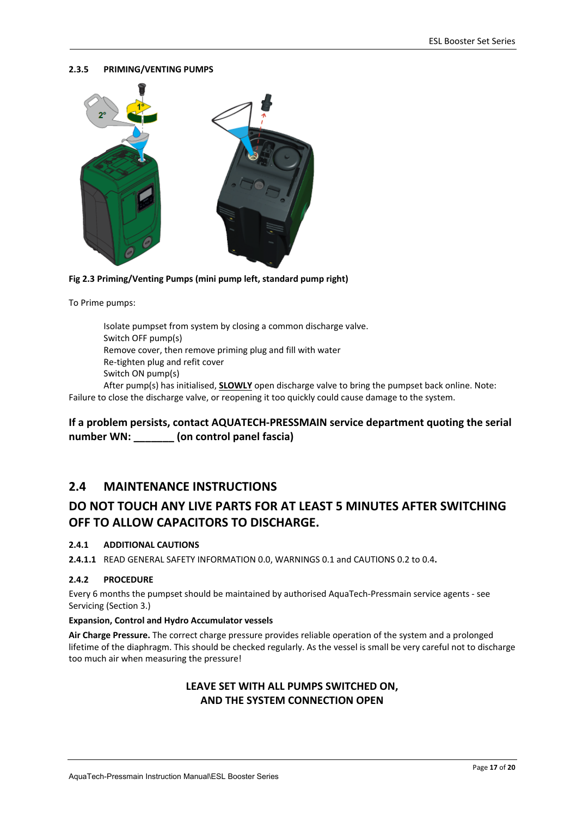#### **2.3.5 PRIMING/VENTING PUMPS**



**Fig 2.3 Priming/Venting Pumps (mini pump left, standard pump right)** 

To Prime pumps:

 Isolate pumpset from system by closing a common discharge valve. Switch OFF pump(s) Remove cover, then remove priming plug and fill with water Re‐tighten plug and refit cover Switch ON pump(s) After pump(s) has initialised, **SLOWLY** open discharge valve to bring the pumpset back online. Note: Failure to close the discharge valve, or reopening it too quickly could cause damage to the system.

#### **If a problem persists, contact AQUATECH‐PRESSMAIN service department quoting the serial number WN: \_\_\_\_\_\_\_ (on control panel fascia)**

#### **2.4 MAINTENANCE INSTRUCTIONS**

## **DO NOT TOUCH ANY LIVE PARTS FOR AT LEAST 5 MINUTES AFTER SWITCHING OFF TO ALLOW CAPACITORS TO DISCHARGE.**

#### **2.4.1 ADDITIONAL CAUTIONS**

**2.4.1.1** READ GENERAL SAFETY INFORMATION 0.0, WARNINGS 0.1 and CAUTIONS 0.2 to 0.4**.** 

#### **2.4.2 PROCEDURE**

Every 6 months the pumpset should be maintained by authorised AquaTech‐Pressmain service agents ‐ see Servicing (Section 3.)

#### **Expansion, Control and Hydro Accumulator vessels**

**Air Charge Pressure.** The correct charge pressure provides reliable operation of the system and a prolonged lifetime of the diaphragm. This should be checked regularly. As the vessel is small be very careful not to discharge too much air when measuring the pressure!

#### **LEAVE SET WITH ALL PUMPS SWITCHED ON, AND THE SYSTEM CONNECTION OPEN**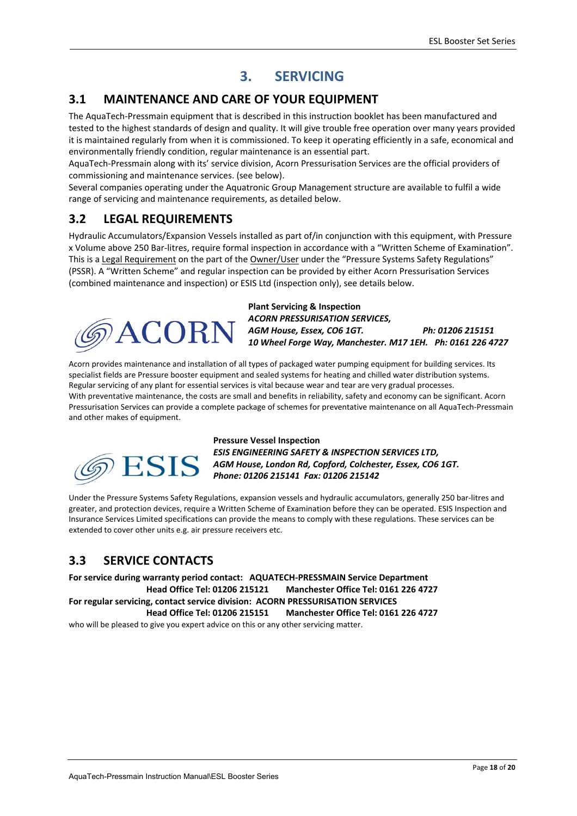## **3. SERVICING**

## **3.1 MAINTENANCE AND CARE OF YOUR EQUIPMENT**

The AquaTech‐Pressmain equipment that is described in this instruction booklet has been manufactured and tested to the highest standards of design and quality. It will give trouble free operation over many years provided it is maintained regularly from when it is commissioned. To keep it operating efficiently in a safe, economical and environmentally friendly condition, regular maintenance is an essential part.

AquaTech‐Pressmain along with its' service division, Acorn Pressurisation Services are the official providers of commissioning and maintenance services. (see below).

Several companies operating under the Aquatronic Group Management structure are available to fulfil a wide range of servicing and maintenance requirements, as detailed below.

## **3.2 LEGAL REQUIREMENTS**

Hydraulic Accumulators/Expansion Vessels installed as part of/in conjunction with this equipment, with Pressure x Volume above 250 Bar‐litres, require formal inspection in accordance with a "Written Scheme of Examination". This is a Legal Requirement on the part of the Owner/User under the "Pressure Systems Safety Regulations" (PSSR). A "Written Scheme" and regular inspection can be provided by either Acorn Pressurisation Services (combined maintenance and inspection) or ESIS Ltd (inspection only), see details below.



**Plant Servicing & Inspection**  *ACORN PRESSURISATION SERVICES, AGM House, Essex, CO6 1GT. Ph: 01206 215151 10 Wheel Forge Way, Manchester. M17 1EH. Ph: 0161 226 4727* 

Acorn provides maintenance and installation of all types of packaged water pumping equipment for building services. Its specialist fields are Pressure booster equipment and sealed systems for heating and chilled water distribution systems. Regular servicing of any plant for essential services is vital because wear and tear are very gradual processes. With preventative maintenance, the costs are small and benefits in reliability, safety and economy can be significant. Acorn Pressurisation Services can provide a complete package of schemes for preventative maintenance on all AquaTech‐Pressmain and other makes of equipment.



**Pressure Vessel Inspection**  *ESIS ENGINEERING SAFETY & INSPECTION SERVICES LTD, AGM House, London Rd, Copford, Colchester, Essex, CO6 1GT. Phone: 01206 215141 Fax: 01206 215142* 

Under the Pressure Systems Safety Regulations, expansion vessels and hydraulic accumulators, generally 250 bar‐litres and greater, and protection devices, require a Written Scheme of Examination before they can be operated. ESIS Inspection and Insurance Services Limited specifications can provide the means to comply with these regulations. These services can be extended to cover other units e.g. air pressure receivers etc.

## **3.3 SERVICE CONTACTS**

**For service during warranty period contact: AQUATECH‐PRESSMAIN Service Department Head Office Tel: 01206 215121 Manchester Office Tel: 0161 226 4727 For regular servicing, contact service division: ACORN PRESSURISATION SERVICES Head Office Tel: 01206 215151 Manchester Office Tel: 0161 226 4727**  who will be pleased to give you expert advice on this or any other servicing matter.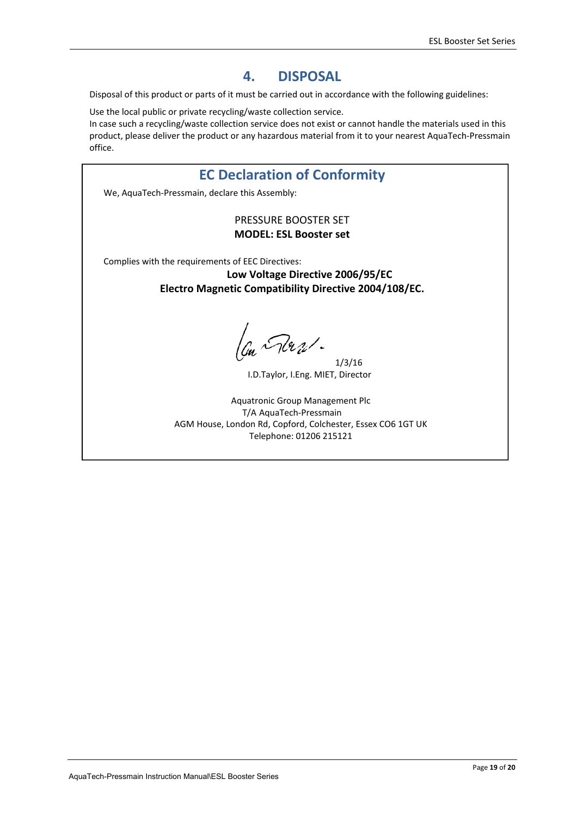## **4. DISPOSAL**

Disposal of this product or parts of it must be carried out in accordance with the following guidelines:

Use the local public or private recycling/waste collection service.

In case such a recycling/waste collection service does not exist or cannot handle the materials used in this product, please deliver the product or any hazardous material from it to your nearest AquaTech‐Pressmain office.